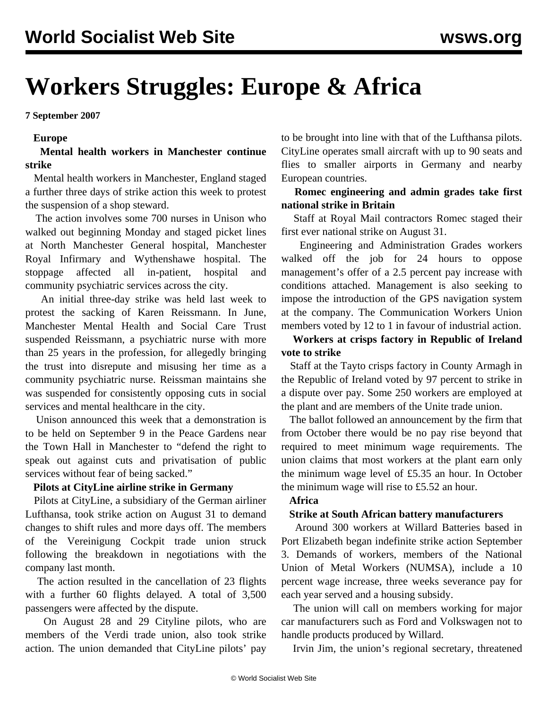# **Workers Struggles: Europe & Africa**

**7 September 2007**

#### **Europe**

#### **Mental health workers in Manchester continue strike**

 Mental health workers in Manchester, England staged a further three days of strike action this week to protest the suspension of a shop steward.

 The action involves some 700 nurses in Unison who walked out beginning Monday and staged picket lines at North Manchester General hospital, Manchester Royal Infirmary and Wythenshawe hospital. The stoppage affected all in-patient, hospital and community psychiatric services across the city.

 An initial three-day strike was held last week to protest the sacking of Karen Reissmann. In June, Manchester Mental Health and Social Care Trust suspended Reissmann, a psychiatric nurse with more than 25 years in the profession, for allegedly bringing the trust into disrepute and misusing her time as a community psychiatric nurse. Reissman maintains she was suspended for consistently opposing cuts in social services and mental healthcare in the city.

 Unison announced this week that a demonstration is to be held on September 9 in the Peace Gardens near the Town Hall in Manchester to "defend the right to speak out against cuts and privatisation of public services without fear of being sacked."

### **Pilots at CityLine airline strike in Germany**

 Pilots at CityLine, a subsidiary of the German airliner Lufthansa, took strike action on August 31 to demand changes to shift rules and more days off. The members of the Vereinigung Cockpit trade union struck following the breakdown in negotiations with the company last month.

 The action resulted in the cancellation of 23 flights with a further 60 flights delayed. A total of 3,500 passengers were affected by the dispute.

 On August 28 and 29 Cityline pilots, who are members of the Verdi trade union, also took strike action. The union demanded that CityLine pilots' pay

to be brought into line with that of the Lufthansa pilots. CityLine operates small aircraft with up to 90 seats and flies to smaller airports in Germany and nearby European countries.

# **Romec engineering and admin grades take first national strike in Britain**

 Staff at Royal Mail contractors Romec staged their first ever national strike on August 31.

 Engineering and Administration Grades workers walked off the job for 24 hours to oppose management's offer of a 2.5 percent pay increase with conditions attached. Management is also seeking to impose the introduction of the GPS navigation system at the company. The Communication Workers Union members voted by 12 to 1 in favour of industrial action.

# **Workers at crisps factory in Republic of Ireland vote to strike**

 Staff at the Tayto crisps factory in County Armagh in the Republic of Ireland voted by 97 percent to strike in a dispute over pay. Some 250 workers are employed at the plant and are members of the Unite trade union.

 The ballot followed an announcement by the firm that from October there would be no pay rise beyond that required to meet minimum wage requirements. The union claims that most workers at the plant earn only the minimum wage level of £5.35 an hour. In October the minimum wage will rise to £5.52 an hour.

# **Africa**

#### **Strike at South African battery manufacturers**

 Around 300 workers at Willard Batteries based in Port Elizabeth began indefinite strike action September 3. Demands of workers, members of the National Union of Metal Workers (NUMSA), include a 10 percent wage increase, three weeks severance pay for each year served and a housing subsidy.

 The union will call on members working for major car manufacturers such as Ford and Volkswagen not to handle products produced by Willard.

Irvin Jim, the union's regional secretary, threatened